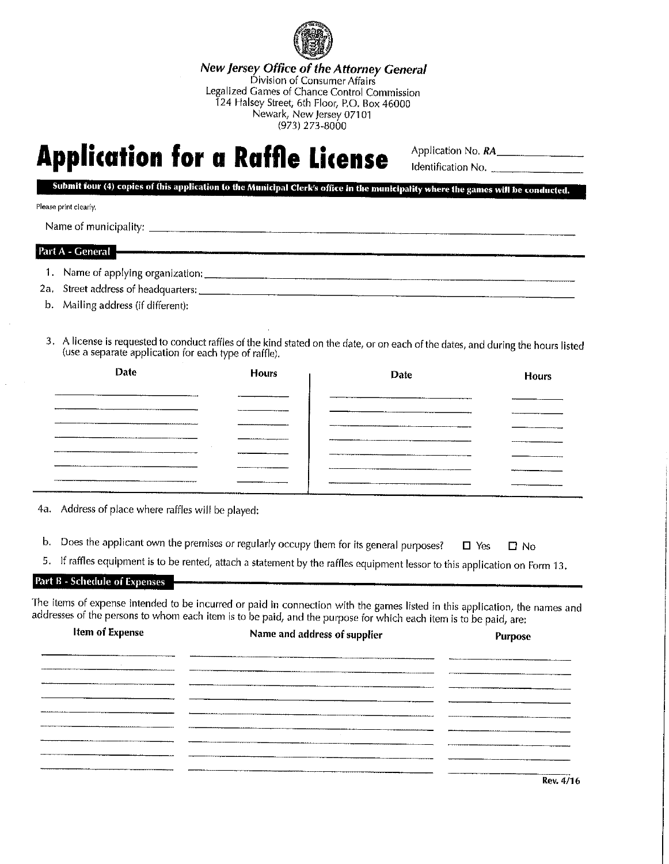

New jersey Office of the Attorney General Division of Consumer Affairs Legalized Games of Chance Control Commission 124 Halsey Street, 6th Floor, P.0. Box 46000 Newark, New Jersey 07101 (973) 273-8000

## **Application for a Raffle License**

Application No. RA Identification No. \_\_\_\_\_\_\_\_\_\_

Submit four (4) copies of this application to the Municipal Clerk's office in the municipality where the games will be conducted.

.<br>Manazarta 1941, Military noong 1941, at noong 1941, at na manazang kalendary na manazay kata ng mga manazay n

## Please print clearly.

Name of municipality:

## Part A - General

1. Name of applying organization:

2a. Street address of headquarters:

- b. Mailing address (if different):
- 3. A license is requested to conduct raffles of the kind stated on the date, or on each of the dates, and during the hours listed (use a separate application for each type of raffle).

| Date           | <b>Hours</b> | Date                       | <b>Hours</b> |
|----------------|--------------|----------------------------|--------------|
|                |              |                            |              |
|                |              |                            |              |
|                |              |                            |              |
|                |              |                            |              |
|                |              |                            |              |
| ______________ |              |                            |              |
|                |              | ________<br>ستعادل التناول |              |
|                |              |                            |              |

4a. Address of place where raffles will be played:

- b. Does the applicant own the premises or regularly occupy them for its general purposes?  $\Box$  Yes  $\Box$  No
- 5. If raffles equipment is to be rented, attach a statement by the raffles equipment lessor to this application on Form 13.

## Part B - Schedule of Expenses

The items of expense intended to be incurred or paid in connection with the games listed in this application, the names and addresses of the persons to whom each item is to be paid, and the purpose for which each item is to be paid, are:

| <b>Item of Expense</b><br>Name and address of supplier |  |
|--------------------------------------------------------|--|
|                                                        |  |
|                                                        |  |
|                                                        |  |
|                                                        |  |
|                                                        |  |
|                                                        |  |
|                                                        |  |
|                                                        |  |

Rev.4/16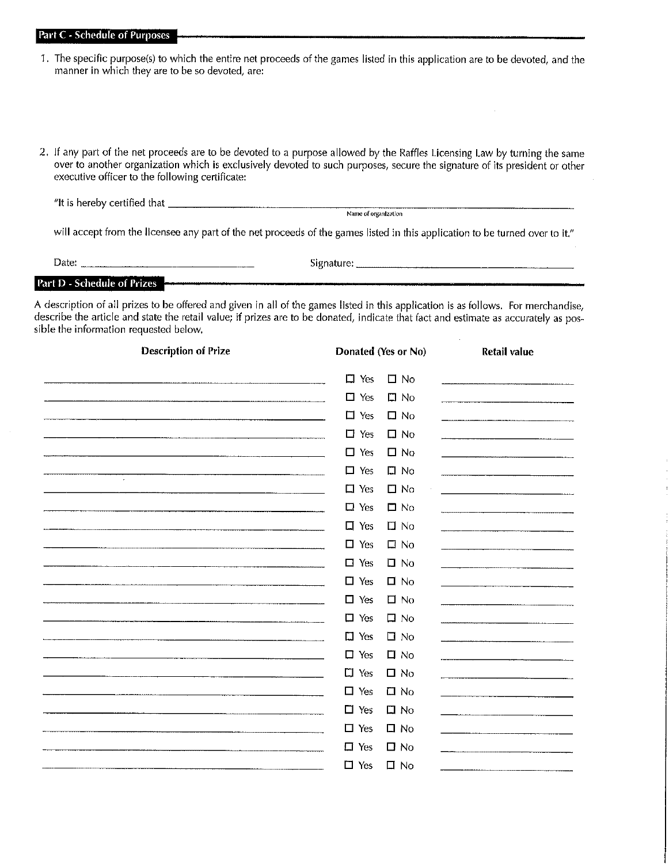Part C - Schedule of Purposes

- 1. The specific purpose(s) to which the entire net proceeds of the games listed in this application are to be devoted, and the manner in which they are to be so devoted, are:
- 2. If any part of the net proceeds are to be devoted to a purpose allowed by the Raffles Licensing Law by turning the same over to another organization which is exclusively devoted to such purposes, secure the signature of its president or other executive officer to the following certificate:

"It is hereby certified that \_

Name ol organization

will accept from the licensee any part of the net proceeds of the games listed in this application to be turned over to it."

| Date:                              |     | bignature <sup>.</sup> |     |
|------------------------------------|-----|------------------------|-----|
| <b>Part D - Schedule of Prizes</b> | $-$ |                        | ___ |

A description of all prizes to be offered and given in all of the games listed in this application is as follows. For merchandise, describe the article and state the retail value; if prizes are to be donated, indicate that fact and estimate as accurately as possible the information requested below.

| <b>Description of Prize</b> |               | Donated (Yes or No) | <b>Retail value</b> |
|-----------------------------|---------------|---------------------|---------------------|
|                             | $\Box$ Yes    | $\square$ No        |                     |
|                             | $\Box$<br>Yes | $\square$ No        |                     |
|                             | $\Box$ Yes    | $\square$ No        |                     |
|                             | $\Box$ Yes    | $\square$ No        |                     |
|                             | $\Box$ Yes    | $\square$ No        |                     |
| $\sim$                      | $\square$ Yes | $\square$ No        |                     |
|                             | $\Box$ Yes    | $\square$ No        |                     |
|                             | $\square$ Yes | $\square$ No        |                     |
|                             | $\Box$ Yes    | $\square$ No        |                     |
|                             | $\Box$ Yes    | $\square$ No        |                     |
|                             | $\Box$ Yes    | $\square$ No        |                     |
|                             | $\Box$ Yes    | $\Box$ No           |                     |
|                             | $\Box$ Yes    | $\square$ No        |                     |
|                             | $\square$ Yes | $\square$ No        |                     |
|                             | $\square$ Yes | $\Box$ No           |                     |
|                             | $\Box$ Yes    | $\square$ No        |                     |
|                             | $\Box$ Yes    | $\Box$ No           |                     |
|                             | $\Box$ Yes    | $\Box$ No           |                     |
|                             | $\Box$ Yes    | $\square$ No        |                     |
|                             | $\Box$ Yes    | $\square$ No        |                     |
|                             | $\square$ Yes | $\Box$ No           |                     |
|                             | $\square$ Yes | $\square$ No        |                     |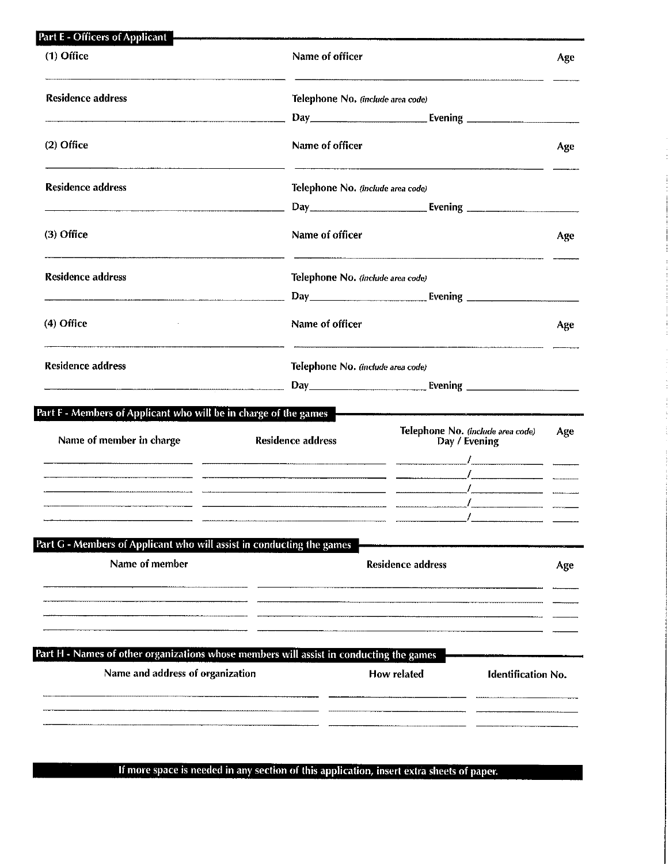| (1) Office                                                                                                                  | Name of officer                   |                                                                                                               | Age |
|-----------------------------------------------------------------------------------------------------------------------------|-----------------------------------|---------------------------------------------------------------------------------------------------------------|-----|
| <b>Residence address</b>                                                                                                    | Telephone No. (include area code) |                                                                                                               |     |
|                                                                                                                             |                                   | Evening ________________                                                                                      |     |
| (2) Office                                                                                                                  | Name of officer                   |                                                                                                               | Age |
| <b>Residence address</b>                                                                                                    | Telephone No. (include area code) |                                                                                                               |     |
|                                                                                                                             |                                   |                                                                                                               |     |
| (3) Office                                                                                                                  | Name of officer                   |                                                                                                               | Age |
| <b>Residence address</b>                                                                                                    | Telephone No. (include area code) |                                                                                                               |     |
|                                                                                                                             |                                   | Day <b>Evening Example 18</b>                                                                                 |     |
| (4) Office                                                                                                                  | Name of officer                   |                                                                                                               | Age |
| <b>Residence address</b>                                                                                                    | Telephone No. (include area code) |                                                                                                               |     |
|                                                                                                                             |                                   | Day Evening Evening                                                                                           |     |
| Part F - Members of Applicant who will be in charge of the games                                                            |                                   | a a shekara wa shekara 1999, a shekara 1999, a shekara wa wasan wasan ƙwallon ƙafa ta 1999, a 1999, a 1999, a |     |
| Name of member in charge                                                                                                    | <b>Residence address</b>          | Telephone No. (include area code)<br>Day / Evening                                                            | Age |
|                                                                                                                             |                                   |                                                                                                               |     |
|                                                                                                                             |                                   |                                                                                                               |     |
|                                                                                                                             |                                   |                                                                                                               |     |
|                                                                                                                             |                                   |                                                                                                               |     |
|                                                                                                                             |                                   |                                                                                                               |     |
| Part G - Members of Applicant who will assist in conducting the games<br>Name of member                                     |                                   | <b>Residence address</b>                                                                                      | Age |
|                                                                                                                             |                                   |                                                                                                               |     |
|                                                                                                                             |                                   |                                                                                                               |     |
| Part H - Names of other organizations whose members will assist in conducting the games<br>Name and address of organization |                                   | How related<br><b>Identification No.</b>                                                                      |     |
|                                                                                                                             |                                   |                                                                                                               |     |

 $\overline{a}$ 

If more space is needed in any section of this application, insert extra sheets of paper.